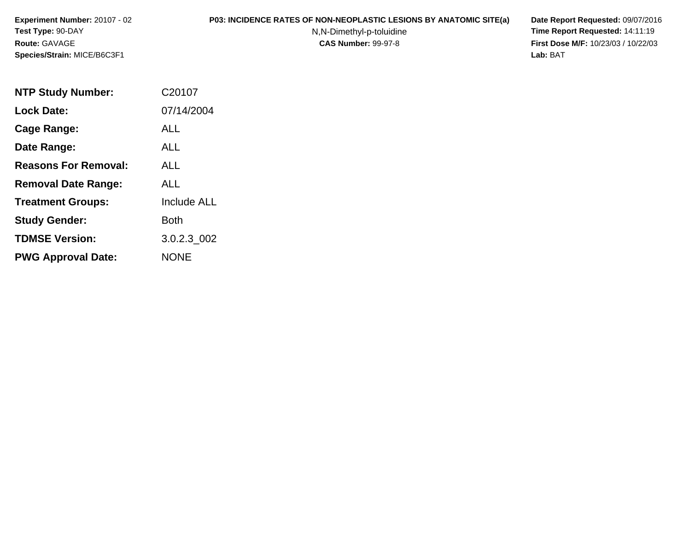**Experiment Number:** 20107 - 02**Test Type:** 90-DAY**Route:** GAVAGE**Species/Strain:** MICE/B6C3F1

## **P03: INCIDENCE RATES OF NON-NEOPLASTIC LESIONS BY ANATOMIC SITE(a) Date Report Requested:** 09/07/2016

N,N-Dimethyl-p-toluidine

 **Time Report Requested:** 14:11:19 **First Dose M/F:** 10/23/03 / 10/22/03<br>Lab: BAT **Lab:** BAT

| <b>NTP Study Number:</b>    | C20107             |
|-----------------------------|--------------------|
| <b>Lock Date:</b>           | 07/14/2004         |
| Cage Range:                 | ALL                |
| Date Range:                 | AI I               |
| <b>Reasons For Removal:</b> | ALL                |
| <b>Removal Date Range:</b>  | ALL                |
| <b>Treatment Groups:</b>    | <b>Include ALL</b> |
| <b>Study Gender:</b>        | <b>Both</b>        |
| <b>TDMSE Version:</b>       | 3.0.2.3 002        |
| <b>PWG Approval Date:</b>   | <b>NONE</b>        |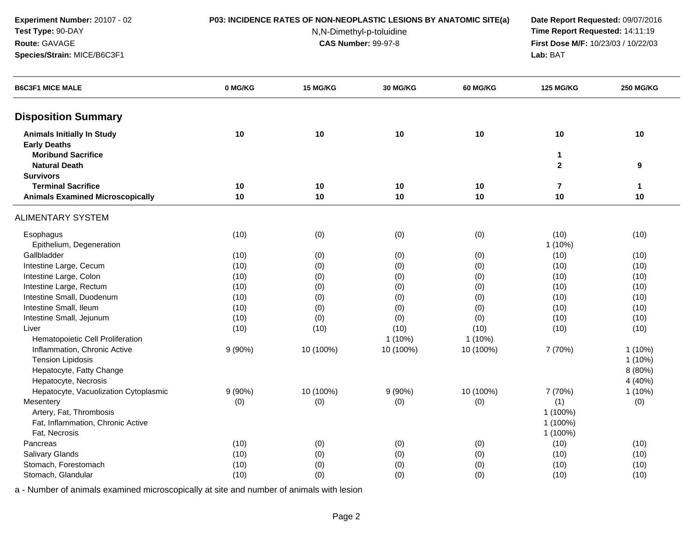**Experiment Number:** 20107 - 02**Test Type:** 90-DAY

**Species/Strain:** MICE/B6C3F1

**Route:** GAVAGE

#### **P03: INCIDENCE RATES OF NON-NEOPLASTIC LESIONS BY ANATOMIC SITE(a) Date Report Requested:** 09/07/2016

N,N-Dimethyl-p-toluidine

 **Time Report Requested:** 14:11:19 **First Dose M/F:** 10/23/03 / 10/22/03<br>**Lab:** BAT **Lab:** BAT

| 0 MG/KG<br>15 MG/KG<br>30 MG/KG<br><b>60 MG/KG</b><br><b>B6C3F1 MICE MALE</b>       | <b>125 MG/KG</b><br><b>250 MG/KG</b> |
|-------------------------------------------------------------------------------------|--------------------------------------|
| <b>Disposition Summary</b>                                                          |                                      |
| <b>Animals Initially In Study</b><br>10<br>10<br>10<br>10<br><b>Early Deaths</b>    | 10<br>10                             |
| <b>Moribund Sacrifice</b><br><b>Natural Death</b>                                   | 1<br>$\mathbf{2}$<br>9               |
| <b>Survivors</b>                                                                    |                                      |
| <b>Terminal Sacrifice</b><br>10<br>10<br>10<br>10                                   | $\overline{7}$<br>$\mathbf{1}$       |
| <b>Animals Examined Microscopically</b><br>10<br>10<br>10<br>10                     | 10<br>10                             |
| <b>ALIMENTARY SYSTEM</b>                                                            |                                      |
| (10)<br>(0)<br>(0)<br>(0)<br>Esophagus                                              | (10)<br>(10)                         |
| Epithelium, Degeneration                                                            | 1 (10%)                              |
| Gallbladder<br>(10)<br>(0)<br>(0)<br>(0)                                            | (10)<br>(10)                         |
| Intestine Large, Cecum<br>(10)<br>(0)<br>(0)<br>(0)                                 | (10)<br>(10)                         |
| Intestine Large, Colon<br>(10)<br>(0)<br>(0)<br>(0)                                 | (10)<br>(10)                         |
| Intestine Large, Rectum<br>(10)<br>(0)<br>(0)<br>(0)                                | (10)<br>(10)                         |
| Intestine Small, Duodenum<br>(10)<br>(0)<br>(0)<br>(0)                              | (10)<br>(10)                         |
| Intestine Small, Ileum<br>(10)<br>(0)<br>(0)<br>(0)                                 | (10)<br>(10)                         |
| Intestine Small, Jejunum<br>(10)<br>(0)<br>(0)<br>(0)                               | (10)<br>(10)                         |
| (10)<br>(10)<br>(10)<br>(10)<br>Liver                                               | (10)<br>(10)                         |
| Hematopoietic Cell Proliferation<br>1 (10%)<br>$1(10\%)$                            |                                      |
| Inflammation, Chronic Active<br>$9(90\%)$<br>10 (100%)<br>10 (100%)<br>10 (100%)    | 7 (70%)<br>$1(10\%)$                 |
| <b>Tension Lipidosis</b>                                                            | $1(10\%)$                            |
| Hepatocyte, Fatty Change                                                            | 8 (80%)                              |
| Hepatocyte, Necrosis                                                                | 4 (40%)                              |
| 10 (100%)<br>9(90%)<br>10 (100%)<br>9(90%)<br>Hepatocyte, Vacuolization Cytoplasmic | 7 (70%)<br>1 (10%)                   |
| Mesentery<br>(0)<br>(0)<br>(0)<br>(0)                                               | (1)<br>(0)                           |
| Artery, Fat, Thrombosis                                                             | 1 (100%)                             |
| Fat, Inflammation, Chronic Active                                                   | 1 (100%)                             |
| Fat, Necrosis                                                                       | 1 (100%)                             |
| Pancreas<br>(10)<br>(0)<br>(0)<br>(0)                                               | (10)<br>(10)                         |
| Salivary Glands<br>(10)<br>(0)<br>(0)<br>(0)                                        | (10)<br>(10)                         |
| Stomach, Forestomach<br>(10)<br>(0)<br>(0)<br>(0)                                   | (10)<br>(10)                         |
| Stomach, Glandular<br>(10)<br>(0)<br>(0)<br>(0)                                     | (10)<br>(10)                         |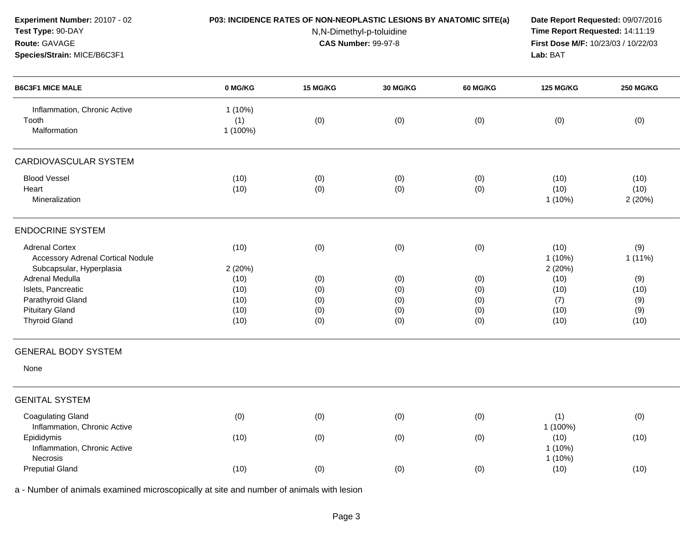| Experiment Number: 20107 - 02<br>Test Type: 90-DAY<br>Route: GAVAGE<br>Species/Strain: MICE/B6C3F1               | P03: INCIDENCE RATES OF NON-NEOPLASTIC LESIONS BY ANATOMIC SITE(a) | Date Report Requested: 09/07/2016<br>Time Report Requested: 14:11:19<br>First Dose M/F: 10/23/03 / 10/22/03<br>Lab: BAT |                          |                          |                                     |                            |
|------------------------------------------------------------------------------------------------------------------|--------------------------------------------------------------------|-------------------------------------------------------------------------------------------------------------------------|--------------------------|--------------------------|-------------------------------------|----------------------------|
| <b>B6C3F1 MICE MALE</b>                                                                                          | 0 MG/KG                                                            | 15 MG/KG                                                                                                                | <b>30 MG/KG</b>          | <b>60 MG/KG</b>          | <b>125 MG/KG</b>                    | <b>250 MG/KG</b>           |
| Inflammation, Chronic Active<br>Tooth<br>Malformation                                                            | 1(10%)<br>(1)<br>1 (100%)                                          | (0)                                                                                                                     | (0)                      | (0)                      | (0)                                 | (0)                        |
| CARDIOVASCULAR SYSTEM                                                                                            |                                                                    |                                                                                                                         |                          |                          |                                     |                            |
| <b>Blood Vessel</b><br>Heart<br>Mineralization                                                                   | (10)<br>(10)                                                       | (0)<br>(0)                                                                                                              | (0)<br>(0)               | (0)<br>(0)               | (10)<br>(10)<br>$1(10\%)$           | (10)<br>(10)<br>2 (20%)    |
| <b>ENDOCRINE SYSTEM</b>                                                                                          |                                                                    |                                                                                                                         |                          |                          |                                     |                            |
| <b>Adrenal Cortex</b><br><b>Accessory Adrenal Cortical Nodule</b><br>Subcapsular, Hyperplasia<br>Adrenal Medulla | (10)<br>2 (20%)<br>(10)                                            | (0)<br>(0)                                                                                                              | (0)<br>(0)               | (0)<br>(0)               | (10)<br>$1(10\%)$<br>2(20%)<br>(10) | (9)<br>$1(11\%)$<br>(9)    |
| Islets, Pancreatic<br>Parathyroid Gland<br><b>Pituitary Gland</b><br><b>Thyroid Gland</b>                        | (10)<br>(10)<br>(10)<br>(10)                                       | (0)<br>(0)<br>(0)<br>(0)                                                                                                | (0)<br>(0)<br>(0)<br>(0) | (0)<br>(0)<br>(0)<br>(0) | (10)<br>(7)<br>(10)<br>(10)         | (10)<br>(9)<br>(9)<br>(10) |
| <b>GENERAL BODY SYSTEM</b>                                                                                       |                                                                    |                                                                                                                         |                          |                          |                                     |                            |
| None                                                                                                             |                                                                    |                                                                                                                         |                          |                          |                                     |                            |
| <b>GENITAL SYSTEM</b>                                                                                            |                                                                    |                                                                                                                         |                          |                          |                                     |                            |
| <b>Coagulating Gland</b><br>Inflammation, Chronic Active                                                         | (0)                                                                | (0)                                                                                                                     | (0)                      | (0)                      | (1)<br>1 (100%)                     | (0)                        |
| Epididymis<br>Inflammation, Chronic Active<br>Necrosis                                                           | (10)                                                               | (0)                                                                                                                     | (0)                      | (0)                      | (10)<br>$1(10\%)$<br>$1(10\%)$      | (10)                       |
| <b>Preputial Gland</b>                                                                                           | (10)                                                               | (0)                                                                                                                     | (0)                      | (0)                      | (10)                                | (10)                       |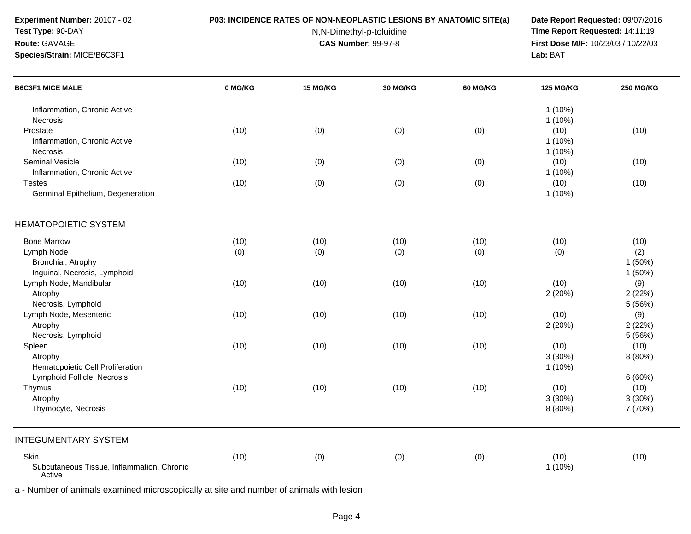**Experiment Number:** 20107 - 02

# **Test Type:** 90-DAY

**Route:** GAVAGE

**Species/Strain:** MICE/B6C3F1

#### **P03: INCIDENCE RATES OF NON-NEOPLASTIC LESIONS BY ANATOMIC SITE(a) Date Report Requested:** 09/07/2016

N,N-Dimethyl-p-toluidine

 **Time Report Requested:** 14:11:19 **First Dose M/F:** 10/23/03 / 10/22/03<br>**Lab:** BAT **Lab:** BAT

| <b>B6C3F1 MICE MALE</b>                              | 0 MG/KG | 15 MG/KG | 30 MG/KG | <b>60 MG/KG</b> | <b>125 MG/KG</b> | <b>250 MG/KG</b> |
|------------------------------------------------------|---------|----------|----------|-----------------|------------------|------------------|
| Inflammation, Chronic Active                         |         |          |          |                 | $1(10\%)$        |                  |
| Necrosis                                             |         |          |          |                 | 1 (10%)          |                  |
| Prostate                                             | (10)    | (0)      | (0)      | (0)             | (10)             | (10)             |
| Inflammation, Chronic Active                         |         |          |          |                 | $1(10\%)$        |                  |
| Necrosis                                             |         |          |          |                 | $1(10\%)$        |                  |
| <b>Seminal Vesicle</b>                               | (10)    | (0)      | (0)      | (0)             | (10)             | (10)             |
| Inflammation, Chronic Active                         |         |          |          |                 | $1(10\%)$        |                  |
| <b>Testes</b>                                        | (10)    | (0)      | (0)      | (0)             | (10)             | (10)             |
| Germinal Epithelium, Degeneration                    |         |          |          |                 | $1(10\%)$        |                  |
| <b>HEMATOPOIETIC SYSTEM</b>                          |         |          |          |                 |                  |                  |
| <b>Bone Marrow</b>                                   | (10)    | (10)     | (10)     | (10)            | (10)             | (10)             |
| Lymph Node                                           | (0)     | (0)      | (0)      | (0)             | (0)              | (2)              |
| Bronchial, Atrophy                                   |         |          |          |                 |                  | 1(50%)           |
| Inguinal, Necrosis, Lymphoid                         |         |          |          |                 |                  | 1 (50%)          |
| Lymph Node, Mandibular                               | (10)    | (10)     | (10)     | (10)            | (10)             | (9)              |
| Atrophy                                              |         |          |          |                 | 2(20%)           | 2(22%)           |
| Necrosis, Lymphoid                                   |         |          |          |                 |                  | 5 (56%)          |
| Lymph Node, Mesenteric                               | (10)    | (10)     | (10)     | (10)            | (10)             | (9)              |
| Atrophy                                              |         |          |          |                 | 2(20%)           | 2(22%)           |
| Necrosis, Lymphoid                                   |         |          |          |                 |                  | 5 (56%)          |
| Spleen                                               | (10)    | (10)     | (10)     | (10)            | (10)             | (10)             |
| Atrophy                                              |         |          |          |                 | 3(30%)           | 8 (80%)          |
| Hematopoietic Cell Proliferation                     |         |          |          |                 | $1(10\%)$        |                  |
| Lymphoid Follicle, Necrosis                          |         |          |          |                 |                  | 6(60%)           |
| Thymus                                               | (10)    | (10)     | (10)     | (10)            | (10)             | (10)             |
| Atrophy                                              |         |          |          |                 | 3(30%)           | 3(30%)           |
| Thymocyte, Necrosis                                  |         |          |          |                 | 8 (80%)          | 7 (70%)          |
| <b>INTEGUMENTARY SYSTEM</b>                          |         |          |          |                 |                  |                  |
| Skin                                                 | (10)    | (0)      | (0)      | (0)             | (10)             | (10)             |
| Subcutaneous Tissue, Inflammation, Chronic<br>Active |         |          |          |                 | $1(10\%)$        |                  |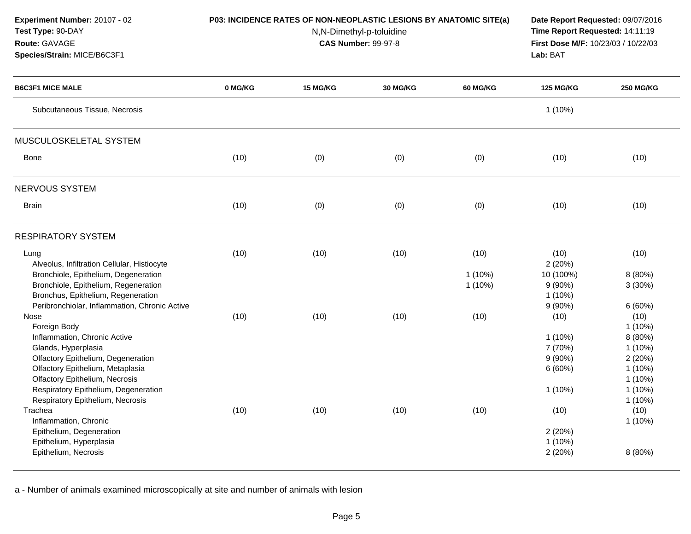| Experiment Number: 20107 - 02<br>Test Type: 90-DAY<br>Route: GAVAGE<br>Species/Strain: MICE/B6C3F1                                                                                                                                                                  | P03: INCIDENCE RATES OF NON-NEOPLASTIC LESIONS BY ANATOMIC SITE(a)<br>N,N-Dimethyl-p-toluidine<br><b>CAS Number: 99-97-8</b> |          |          |                                | Date Report Requested: 09/07/2016<br>Time Report Requested: 14:11:19<br>First Dose M/F: 10/23/03 / 10/22/03<br>Lab: BAT |                                                                                                         |
|---------------------------------------------------------------------------------------------------------------------------------------------------------------------------------------------------------------------------------------------------------------------|------------------------------------------------------------------------------------------------------------------------------|----------|----------|--------------------------------|-------------------------------------------------------------------------------------------------------------------------|---------------------------------------------------------------------------------------------------------|
| <b>B6C3F1 MICE MALE</b>                                                                                                                                                                                                                                             | 0 MG/KG                                                                                                                      | 15 MG/KG | 30 MG/KG | <b>60 MG/KG</b>                | <b>125 MG/KG</b>                                                                                                        | <b>250 MG/KG</b>                                                                                        |
| Subcutaneous Tissue, Necrosis                                                                                                                                                                                                                                       |                                                                                                                              |          |          |                                | 1 (10%)                                                                                                                 |                                                                                                         |
| MUSCULOSKELETAL SYSTEM                                                                                                                                                                                                                                              |                                                                                                                              |          |          |                                |                                                                                                                         |                                                                                                         |
| <b>Bone</b>                                                                                                                                                                                                                                                         | (10)                                                                                                                         | (0)      | (0)      | (0)                            | (10)                                                                                                                    | (10)                                                                                                    |
| NERVOUS SYSTEM                                                                                                                                                                                                                                                      |                                                                                                                              |          |          |                                |                                                                                                                         |                                                                                                         |
| <b>Brain</b>                                                                                                                                                                                                                                                        | (10)                                                                                                                         | (0)      | (0)      | (0)                            | (10)                                                                                                                    | (10)                                                                                                    |
| <b>RESPIRATORY SYSTEM</b>                                                                                                                                                                                                                                           |                                                                                                                              |          |          |                                |                                                                                                                         |                                                                                                         |
| Lung<br>Alveolus, Infiltration Cellular, Histiocyte<br>Bronchiole, Epithelium, Degeneration<br>Bronchiole, Epithelium, Regeneration<br>Bronchus, Epithelium, Regeneration<br>Peribronchiolar, Inflammation, Chronic Active                                          | (10)                                                                                                                         | (10)     | (10)     | (10)<br>$1(10\%)$<br>$1(10\%)$ | (10)<br>2(20%)<br>10 (100%)<br>$9(90\%)$<br>$1(10\%)$<br>$9(90\%)$                                                      | (10)<br>8 (80%)<br>3(30%)<br>6(60%)                                                                     |
| Nose<br>Foreign Body<br>Inflammation, Chronic Active<br>Glands, Hyperplasia<br>Olfactory Epithelium, Degeneration<br>Olfactory Epithelium, Metaplasia<br>Olfactory Epithelium, Necrosis<br>Respiratory Epithelium, Degeneration<br>Respiratory Epithelium, Necrosis | (10)                                                                                                                         | (10)     | (10)     | (10)                           | (10)<br>$1(10\%)$<br>7 (70%)<br>$9(90\%)$<br>6(60%)<br>1 (10%)                                                          | (10)<br>$1(10\%)$<br>8 (80%)<br>$1(10\%)$<br>2(20%)<br>$1(10\%)$<br>$1(10\%)$<br>$1(10\%)$<br>$1(10\%)$ |
| Trachea<br>Inflammation, Chronic<br>Epithelium, Degeneration<br>Epithelium, Hyperplasia<br>Epithelium, Necrosis                                                                                                                                                     | (10)                                                                                                                         | (10)     | (10)     | (10)                           | (10)<br>2(20%)<br>1(10%)<br>2(20%)                                                                                      | (10)<br>$1(10\%)$<br>8 (80%)                                                                            |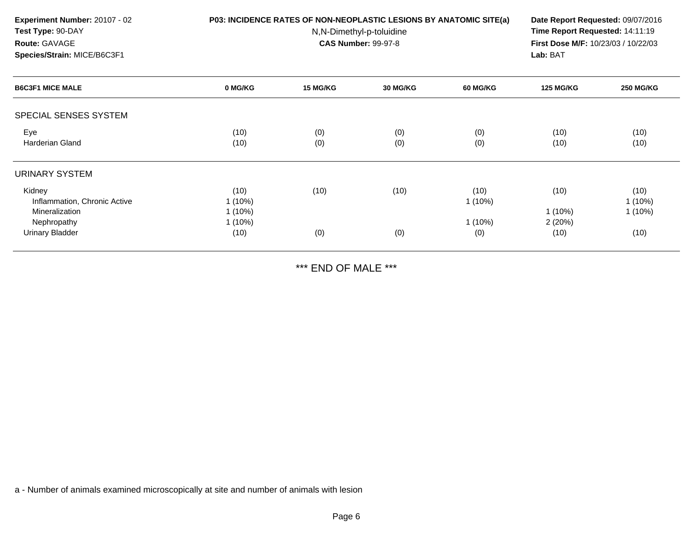| Experiment Number: 20107 - 02<br>Test Type: 90-DAY<br>Route: GAVAGE<br>Species/Strain: MICE/B6C3F1 |         | P03: INCIDENCE RATES OF NON-NEOPLASTIC LESIONS BY ANATOMIC SITE(a)<br>N,N-Dimethyl-p-toluidine<br><b>CAS Number: 99-97-8</b> |          |          |           |                  |
|----------------------------------------------------------------------------------------------------|---------|------------------------------------------------------------------------------------------------------------------------------|----------|----------|-----------|------------------|
| <b>B6C3F1 MICE MALE</b>                                                                            | 0 MG/KG | <b>15 MG/KG</b>                                                                                                              | 30 MG/KG | 60 MG/KG | 125 MG/KG | <b>250 MG/KG</b> |
| SPECIAL SENSES SYSTEM                                                                              |         |                                                                                                                              |          |          |           |                  |

| Eye<br><b>Harderian Gland</b>          | (10)<br>(10)           | (0)<br>(0) | (0)<br>(0) | (0)<br>(0)        | (10)<br>(10)     | (10)<br>(10)      |
|----------------------------------------|------------------------|------------|------------|-------------------|------------------|-------------------|
| URINARY SYSTEM                         |                        |            |            |                   |                  |                   |
| Kidney<br>Inflammation, Chronic Active | (10)<br>$1(10\%)$      | (10)       | (10)       | (10)<br>$1(10\%)$ | (10)             | (10)<br>$1(10\%)$ |
| Mineralization<br>Nephropathy          | $1(10\%)$<br>$1(10\%)$ |            |            | $1(10\%)$         | 1(10%)<br>2(20%) | $1(10\%)$         |
| <b>Urinary Bladder</b>                 | (10)                   | (0)        | (0)        | (0)               | (10)             | (10)              |

\*\*\* END OF MALE \*\*\*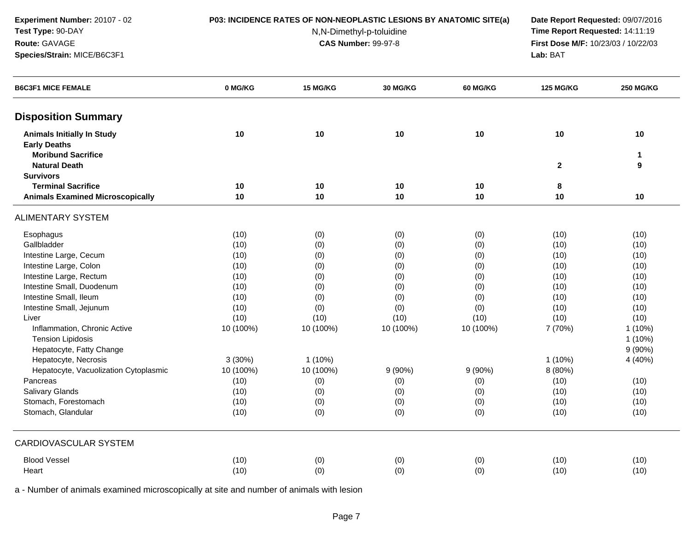**Experiment Number:** 20107 - 02**Test Type:** 90-DAY

**Species/Strain:** MICE/B6C3F1

**Route:** GAVAGE

#### **P03: INCIDENCE RATES OF NON-NEOPLASTIC LESIONS BY ANATOMIC SITE(a) Date Report Requested:** 09/07/2016

N,N-Dimethyl-p-toluidine

 **Time Report Requested:** 14:11:19 **First Dose M/F:** 10/23/03 / 10/22/03<br>**Lab:** BAT **Lab:** BAT

| <b>B6C3F1 MICE FEMALE</b>                                | 0 MG/KG   | 15 MG/KG  | 30 MG/KG  | <b>60 MG/KG</b> | <b>125 MG/KG</b> | <b>250 MG/KG</b>  |
|----------------------------------------------------------|-----------|-----------|-----------|-----------------|------------------|-------------------|
| <b>Disposition Summary</b>                               |           |           |           |                 |                  |                   |
| <b>Animals Initially In Study</b><br><b>Early Deaths</b> | 10        | 10        | 10        | 10              | 10               | 10                |
| <b>Moribund Sacrifice</b><br><b>Natural Death</b>        |           |           |           |                 | $\mathbf{2}$     | $\mathbf{1}$<br>9 |
| <b>Survivors</b>                                         |           |           |           |                 |                  |                   |
| <b>Terminal Sacrifice</b>                                | 10        | 10        | 10        | 10              | 8                |                   |
| <b>Animals Examined Microscopically</b>                  | 10        | 10        | 10        | 10              | 10               | 10                |
| <b>ALIMENTARY SYSTEM</b>                                 |           |           |           |                 |                  |                   |
| Esophagus                                                | (10)      | (0)       | (0)       | (0)             | (10)             | (10)              |
| Gallbladder                                              | (10)      | (0)       | (0)       | (0)             | (10)             | (10)              |
| Intestine Large, Cecum                                   | (10)      | (0)       | (0)       | (0)             | (10)             | (10)              |
| Intestine Large, Colon                                   | (10)      | (0)       | (0)       | (0)             | (10)             | (10)              |
| Intestine Large, Rectum                                  | (10)      | (0)       | (0)       | (0)             | (10)             | (10)              |
| Intestine Small, Duodenum                                | (10)      | (0)       | (0)       | (0)             | (10)             | (10)              |
| Intestine Small, Ileum                                   | (10)      | (0)       | (0)       | (0)             | (10)             | (10)              |
| Intestine Small, Jejunum                                 | (10)      | (0)       | (0)       | (0)             | (10)             | (10)              |
| Liver                                                    | (10)      | (10)      | (10)      | (10)            | (10)             | (10)              |
| Inflammation, Chronic Active                             | 10 (100%) | 10 (100%) | 10 (100%) | 10 (100%)       | 7 (70%)          | $1(10\%)$         |
| <b>Tension Lipidosis</b>                                 |           |           |           |                 |                  | $1(10\%)$         |
| Hepatocyte, Fatty Change                                 |           |           |           |                 |                  | $9(90\%)$         |
| Hepatocyte, Necrosis                                     | 3(30%)    | $1(10\%)$ |           |                 | $1(10\%)$        | 4 (40%)           |
| Hepatocyte, Vacuolization Cytoplasmic                    | 10 (100%) | 10 (100%) | 9(90%)    | $9(90\%)$       | 8 (80%)          |                   |
| Pancreas                                                 | (10)      | (0)       | (0)       | (0)             | (10)             | (10)              |
| Salivary Glands                                          | (10)      | (0)       | (0)       | (0)             | (10)             | (10)              |
| Stomach, Forestomach                                     | (10)      | (0)       | (0)       | (0)             | (10)             | (10)              |
| Stomach, Glandular                                       | (10)      | (0)       | (0)       | (0)             | (10)             | (10)              |
| <b>CARDIOVASCULAR SYSTEM</b>                             |           |           |           |                 |                  |                   |
| <b>Blood Vessel</b>                                      | (10)      | (0)       | (0)       | (0)             | (10)             | (10)              |
| Heart                                                    | (10)      | (0)       | (0)       | (0)             | (10)             | (10)              |
|                                                          |           |           |           |                 |                  |                   |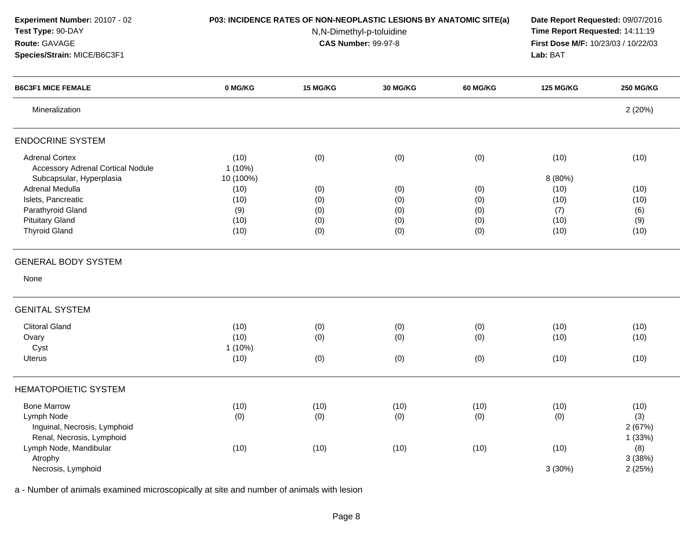| Experiment Number: 20107 - 02<br>Test Type: 90-DAY<br>Route: GAVAGE<br>Species/Strain: MICE/B6C3F1 | P03: INCIDENCE RATES OF NON-NEOPLASTIC LESIONS BY ANATOMIC SITE(a) | Date Report Requested: 09/07/2016<br>Time Report Requested: 14:11:19<br>First Dose M/F: 10/23/03 / 10/22/03<br>Lab: BAT |            |                 |                  |                  |
|----------------------------------------------------------------------------------------------------|--------------------------------------------------------------------|-------------------------------------------------------------------------------------------------------------------------|------------|-----------------|------------------|------------------|
| <b>B6C3F1 MICE FEMALE</b>                                                                          | 0 MG/KG                                                            | 15 MG/KG                                                                                                                | 30 MG/KG   | <b>60 MG/KG</b> | <b>125 MG/KG</b> | <b>250 MG/KG</b> |
| Mineralization                                                                                     |                                                                    |                                                                                                                         |            |                 |                  | 2(20%)           |
| <b>ENDOCRINE SYSTEM</b>                                                                            |                                                                    |                                                                                                                         |            |                 |                  |                  |
| <b>Adrenal Cortex</b><br>Accessory Adrenal Cortical Nodule                                         | (10)<br>$1(10\%)$                                                  | (0)                                                                                                                     | (0)        | (0)             | (10)             | (10)             |
| Subcapsular, Hyperplasia<br>Adrenal Medulla                                                        | 10 (100%)                                                          |                                                                                                                         |            |                 | 8 (80%)          | (10)             |
| Islets, Pancreatic                                                                                 | (10)<br>(10)                                                       | (0)<br>(0)                                                                                                              | (0)<br>(0) | (0)<br>(0)      | (10)<br>(10)     | (10)             |
| Parathyroid Gland                                                                                  | (9)                                                                | (0)                                                                                                                     | (0)        | (0)             | (7)              | (6)              |
| <b>Pituitary Gland</b>                                                                             | (10)                                                               | (0)                                                                                                                     | (0)        | (0)             | (10)             | (9)              |
| <b>Thyroid Gland</b>                                                                               | (10)                                                               | (0)                                                                                                                     | (0)        | (0)             | (10)             | (10)             |
| <b>GENERAL BODY SYSTEM</b>                                                                         |                                                                    |                                                                                                                         |            |                 |                  |                  |
| None                                                                                               |                                                                    |                                                                                                                         |            |                 |                  |                  |
| <b>GENITAL SYSTEM</b>                                                                              |                                                                    |                                                                                                                         |            |                 |                  |                  |
| <b>Clitoral Gland</b>                                                                              | (10)                                                               | (0)                                                                                                                     | (0)        | (0)             | (10)             | (10)             |
| Ovary                                                                                              | (10)                                                               | (0)                                                                                                                     | (0)        | (0)             | (10)             | (10)             |
| Cyst                                                                                               | $1(10\%)$                                                          |                                                                                                                         |            |                 |                  |                  |
| Uterus                                                                                             | (10)                                                               | (0)                                                                                                                     | (0)        | (0)             | (10)             | (10)             |
| <b>HEMATOPOIETIC SYSTEM</b>                                                                        |                                                                    |                                                                                                                         |            |                 |                  |                  |
| <b>Bone Marrow</b>                                                                                 | (10)                                                               | (10)                                                                                                                    | (10)       | (10)            | (10)             | (10)             |
| Lymph Node                                                                                         | (0)                                                                | (0)                                                                                                                     | (0)        | (0)             | (0)              | (3)              |
| Inguinal, Necrosis, Lymphoid                                                                       |                                                                    |                                                                                                                         |            |                 |                  | 2(67%)           |
| Renal, Necrosis, Lymphoid                                                                          |                                                                    |                                                                                                                         |            |                 |                  | 1(33%)           |
| Lymph Node, Mandibular                                                                             | (10)                                                               | (10)                                                                                                                    | (10)       | (10)            | (10)             | (8)              |
| Atrophy                                                                                            |                                                                    |                                                                                                                         |            |                 |                  | 3(38%)           |
| Necrosis, Lymphoid                                                                                 |                                                                    |                                                                                                                         |            |                 | 3(30%)           | 2(25%)           |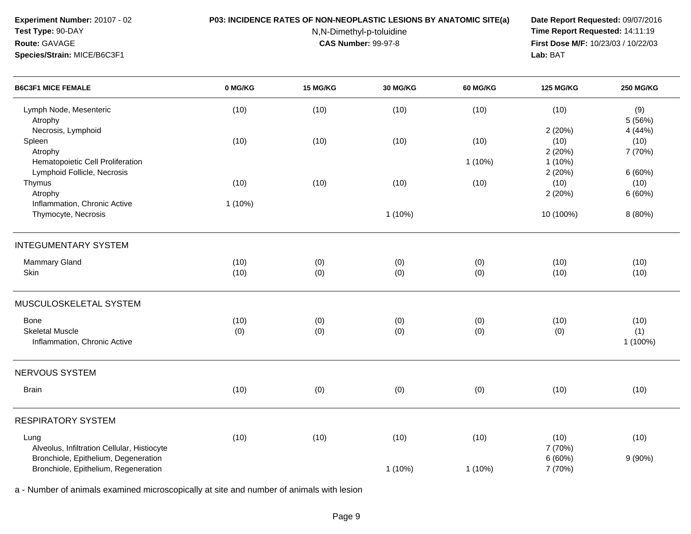**Experiment Number:** 20107 - 02**Test Type:** 90-DAY

**Species/Strain:** MICE/B6C3F1

**Route:** GAVAGE

### **P03: INCIDENCE RATES OF NON-NEOPLASTIC LESIONS BY ANATOMIC SITE(a) Date Report Requested:** 09/07/2016

N,N-Dimethyl-p-toluidine

 **Time Report Requested:** 14:11:19 **First Dose M/F:** 10/23/03 / 10/22/03<br>**Lab:** BAT **Lab:** BAT

| <b>B6C3F1 MICE FEMALE</b>                   | 0 MG/KG   | 15 MG/KG | 30 MG/KG  | 60 MG/KG  | <b>125 MG/KG</b> | <b>250 MG/KG</b> |
|---------------------------------------------|-----------|----------|-----------|-----------|------------------|------------------|
| Lymph Node, Mesenteric<br>Atrophy           | (10)      | (10)     | (10)      | (10)      | (10)             | (9)<br>5(56%)    |
| Necrosis, Lymphoid                          |           |          |           |           | 2(20%)           | 4 (44%)          |
| Spleen                                      | (10)      | (10)     | (10)      | (10)      | (10)             | (10)             |
| Atrophy                                     |           |          |           |           | 2(20%)           | 7 (70%)          |
| Hematopoietic Cell Proliferation            |           |          |           | 1(10%)    | $1(10\%)$        |                  |
| Lymphoid Follicle, Necrosis                 |           |          |           |           | 2(20%)           | 6(60%)           |
| Thymus                                      | (10)      | (10)     | (10)      | (10)      | (10)             | (10)             |
| Atrophy                                     |           |          |           |           | 2(20%)           | 6(60%)           |
| Inflammation, Chronic Active                | $1(10\%)$ |          |           |           |                  |                  |
| Thymocyte, Necrosis                         |           |          | $1(10\%)$ |           | 10 (100%)        | 8 (80%)          |
| <b>INTEGUMENTARY SYSTEM</b>                 |           |          |           |           |                  |                  |
| Mammary Gland                               | (10)      | (0)      | (0)       | (0)       | (10)             | (10)             |
| Skin                                        | (10)      | (0)      | (0)       | (0)       | (10)             | (10)             |
|                                             |           |          |           |           |                  |                  |
| MUSCULOSKELETAL SYSTEM                      |           |          |           |           |                  |                  |
| Bone                                        | (10)      | (0)      | (0)       | (0)       | (10)             | (10)             |
| <b>Skeletal Muscle</b>                      | (0)       | (0)      | (0)       | (0)       | (0)              | (1)              |
| Inflammation, Chronic Active                |           |          |           |           |                  | 1 (100%)         |
| <b>NERVOUS SYSTEM</b>                       |           |          |           |           |                  |                  |
| <b>Brain</b>                                | (10)      | (0)      | (0)       | (0)       | (10)             | (10)             |
| <b>RESPIRATORY SYSTEM</b>                   |           |          |           |           |                  |                  |
|                                             |           |          |           |           |                  |                  |
| Lung                                        | (10)      | (10)     | (10)      | (10)      | (10)             | (10)             |
| Alveolus, Infiltration Cellular, Histiocyte |           |          |           |           | 7 (70%)          |                  |
| Bronchiole, Epithelium, Degeneration        |           |          |           |           | 6(60%)           | 9(90%)           |
| Bronchiole, Epithelium, Regeneration        |           |          | $1(10\%)$ | $1(10\%)$ | 7 (70%)          |                  |